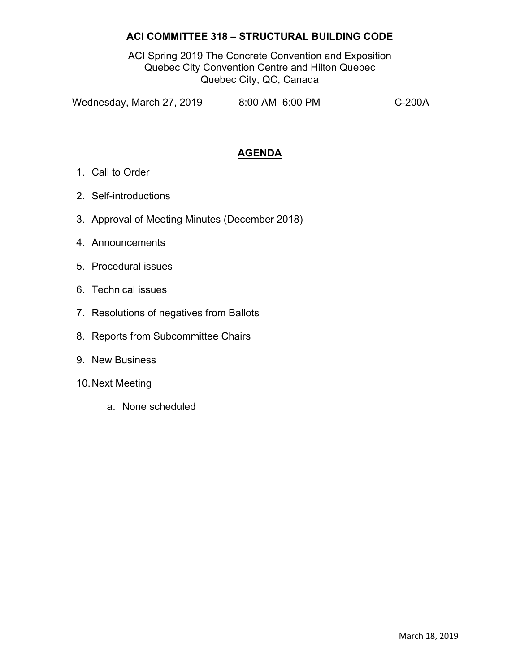## **ACI COMMITTEE 318 – STRUCTURAL BUILDING CODE**

ACI Spring 2019 The Concrete Convention and Exposition Quebec City Convention Centre and Hilton Quebec Quebec City, QC, Canada

Wednesday, March 27, 2019 8:00 AM–6:00 PM C-200A

## **AGENDA**

- 1. Call to Order
- 2. Self-introductions
- 3. Approval of Meeting Minutes (December 2018)
- 4. Announcements
- 5. Procedural issues
- 6. Technical issues
- 7. Resolutions of negatives from Ballots
- 8. Reports from Subcommittee Chairs
- 9. New Business
- 10. Next Meeting
	- a. None scheduled